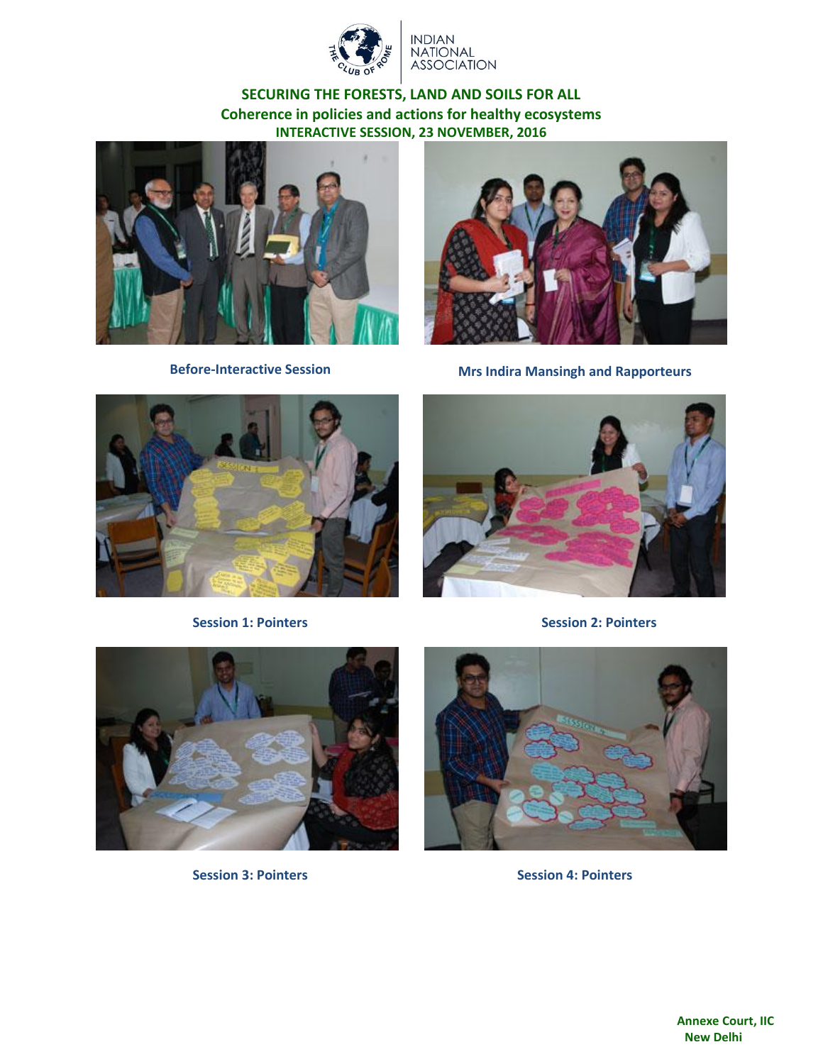

**NDIAN** NATIONAL<br>ASSOCIATION

## **SECURING THE FORESTS, LAND AND SOILS FOR ALL Coherence in policies and actions for healthy ecosystems INTERACTIVE SESSION, 23 NOVEMBER, 2016**





**Before-Interactive Session Mrs Indira Mansingh and Rapporteurs**





**Session 1: Pointers Session 2: Pointers**



**Session 3: Pointers Session 4: Pointers**

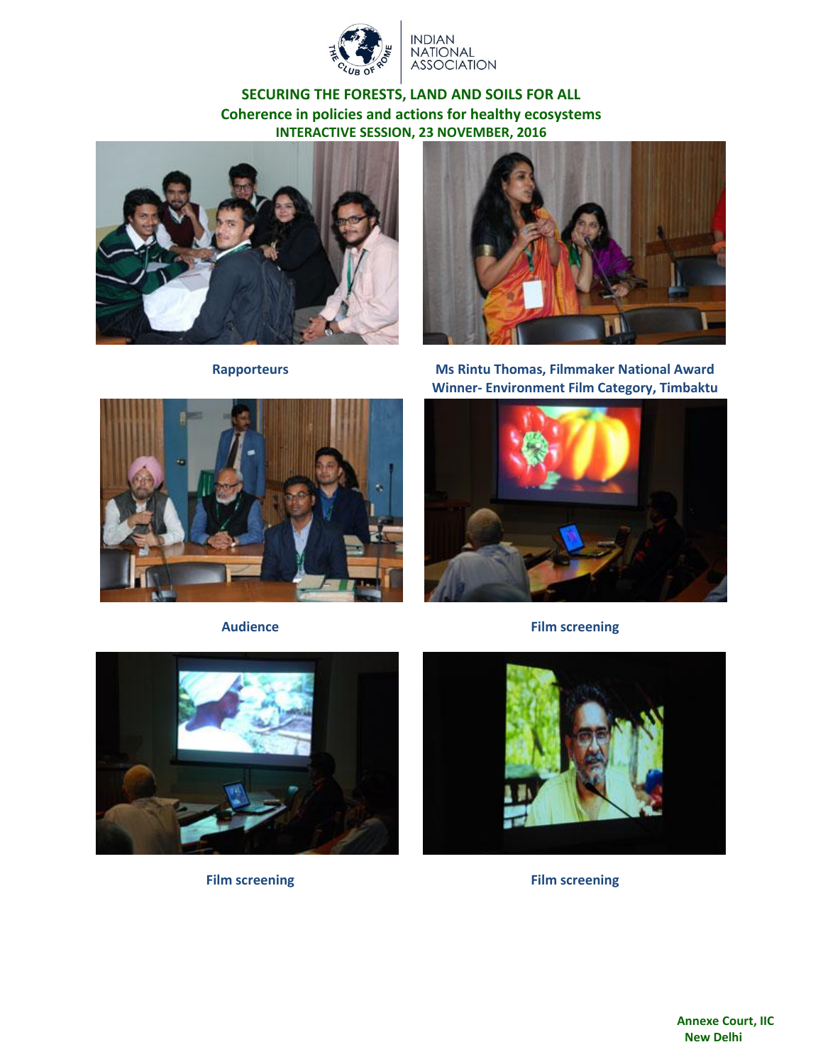

INDIAN<br>NATIONAL<br>ASSOCIATION

## **SECURING THE FORESTS, LAND AND SOILS FOR ALL Coherence in policies and actions for healthy ecosystems INTERACTIVE SESSION, 23 NOVEMBER, 2016**









**Rapporteurs Ms Rintu Thomas, Filmmaker National Award Winner- Environment Film Category, Timbaktu**



**Audience Film screening**



**Film screening Film screening**

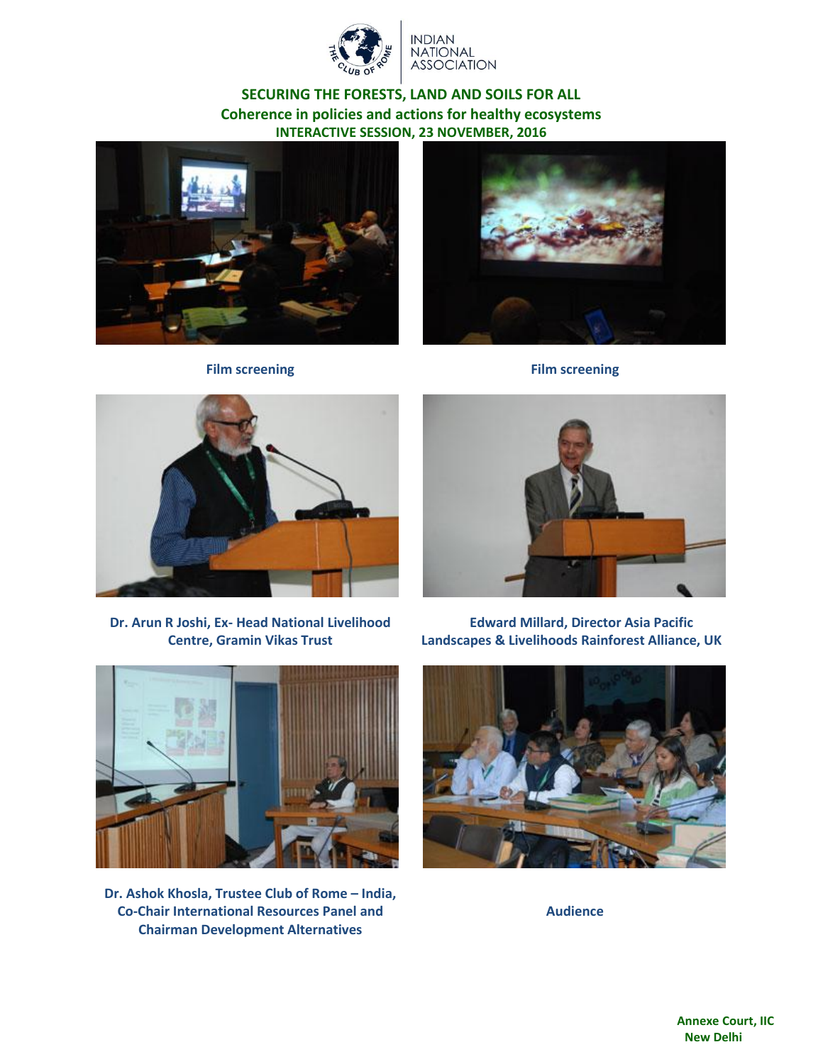

**NDIAN NATIONAL ASSOCIATION** 

## **SECURING THE FORESTS, LAND AND SOILS FOR ALL Coherence in policies and actions for healthy ecosystems INTERACTIVE SESSION, 23 NOVEMBER, 2016**





**Film screening Film screening**



**Dr. Arun R Joshi, Ex- Head National Livelihood Centre, Gramin Vikas Trust**



**Edward Millard, Director Asia Pacific Landscapes & Livelihoods Rainforest Alliance, UK**



**Dr. Ashok Khosla, Trustee Club of Rome – India, Co-Chair International Resources Panel and Chairman Development Alternatives**



**Audience**